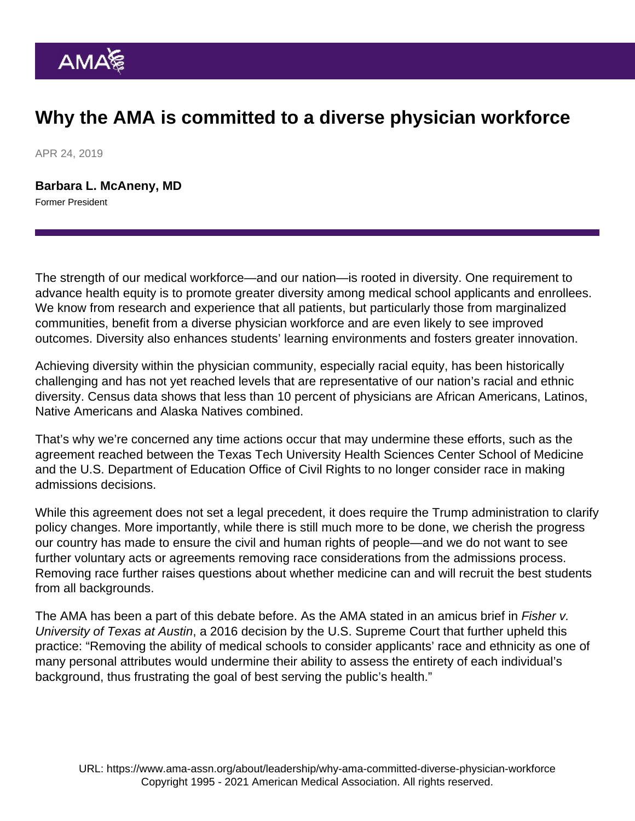## Why the AMA is committed to a diverse physician workforce

APR 24, 2019

[Barbara L. McAneny, MD](https://www.ama-assn.org/news-leadership-viewpoints/authors-news-leadership-viewpoints/barbara-l-mcaneny-md) Former President

The strength of our medical workforce—and our nation—is rooted in diversity. One requirement to advance health equity is to promote greater diversity among medical school applicants and enrollees. We know from research and experience that all patients, but particularly those from marginalized communities, benefit from a diverse physician workforce and are even likely to see improved outcomes. Diversity also enhances students' learning environments and fosters greater innovation.

Achieving diversity within the physician community, especially racial equity, has been historically challenging and has not yet reached levels that are representative of our nation's racial and ethnic diversity. Census data shows that less than 10 percent of physicians are African Americans, Latinos, Native Americans and Alaska Natives combined.

That's why we're concerned any time actions occur that may undermine these efforts, such as the agreement reached between the Texas Tech University Health Sciences Center School of Medicine and the U.S. Department of Education Office of Civil Rights to no longer consider race in making admissions decisions.

While this agreement does not set a legal precedent, it does require the Trump administration to clarify policy changes. More importantly, while there is still much more to be done, we cherish the progress our country has made to ensure the civil and human rights of people—and we do not want to see further voluntary acts or agreements removing race considerations from the admissions process. Removing race further raises questions about whether medicine can and will recruit the best students from all backgrounds.

The AMA has been a part of this debate before. As the AMA stated in an amicus brief in Fisher v. University of Texas at Austin, a 2016 decision by the U.S. Supreme Court that further upheld this practice: "Removing the ability of medical schools to consider applicants' race and ethnicity as one of many personal attributes would undermine their ability to assess the entirety of each individual's background, thus frustrating the goal of best serving the public's health."